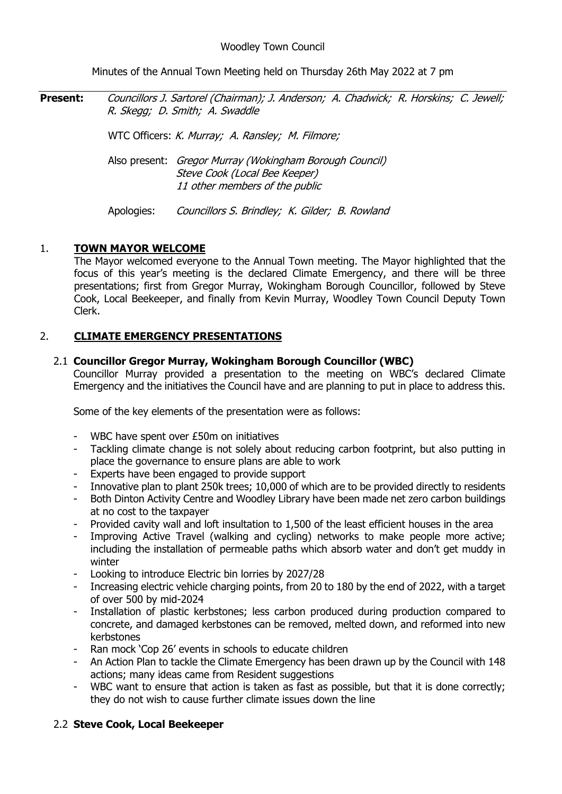Minutes of the Annual Town Meeting held on Thursday 26th May 2022 at 7 pm

**Present:** Councillors J. Sartorel (Chairman); J. Anderson; A. Chadwick; R. Horskins; C. Jewell; R. Skegg; D. Smith; A. Swaddle

WTC Officers: K. Murray; A. Ransley; M. Filmore;

Also present: Gregor Murray (Wokingham Borough Council) Steve Cook (Local Bee Keeper) 11 other members of the public

Apologies: Councillors S. Brindley; K. Gilder; B. Rowland

# 1. **TOWN MAYOR WELCOME**

The Mayor welcomed everyone to the Annual Town meeting. The Mayor highlighted that the focus of this year's meeting is the declared Climate Emergency, and there will be three presentations; first from Gregor Murray, Wokingham Borough Councillor, followed by Steve Cook, Local Beekeeper, and finally from Kevin Murray, Woodley Town Council Deputy Town Clerk.

# 2. **CLIMATE EMERGENCY PRESENTATIONS**

## 2.1 **Councillor Gregor Murray, Wokingham Borough Councillor (WBC)**

Councillor Murray provided a presentation to the meeting on WBC's declared Climate Emergency and the initiatives the Council have and are planning to put in place to address this.

Some of the key elements of the presentation were as follows:

- WBC have spent over £50m on initiatives
- Tackling climate change is not solely about reducing carbon footprint, but also putting in place the governance to ensure plans are able to work
- Experts have been engaged to provide support
- Innovative plan to plant 250k trees; 10,000 of which are to be provided directly to residents
- Both Dinton Activity Centre and Woodley Library have been made net zero carbon buildings at no cost to the taxpayer
- Provided cavity wall and loft insultation to 1,500 of the least efficient houses in the area
- Improving Active Travel (walking and cycling) networks to make people more active; including the installation of permeable paths which absorb water and don't get muddy in winter
- Looking to introduce Electric bin lorries by 2027/28
- Increasing electric vehicle charging points, from 20 to 180 by the end of 2022, with a target of over 500 by mid-2024
- Installation of plastic kerbstones; less carbon produced during production compared to concrete, and damaged kerbstones can be removed, melted down, and reformed into new kerbstones
- Ran mock 'Cop 26' events in schools to educate children
- An Action Plan to tackle the Climate Emergency has been drawn up by the Council with 148 actions; many ideas came from Resident suggestions
- WBC want to ensure that action is taken as fast as possible, but that it is done correctly; they do not wish to cause further climate issues down the line

## 2.2 **Steve Cook, Local Beekeeper**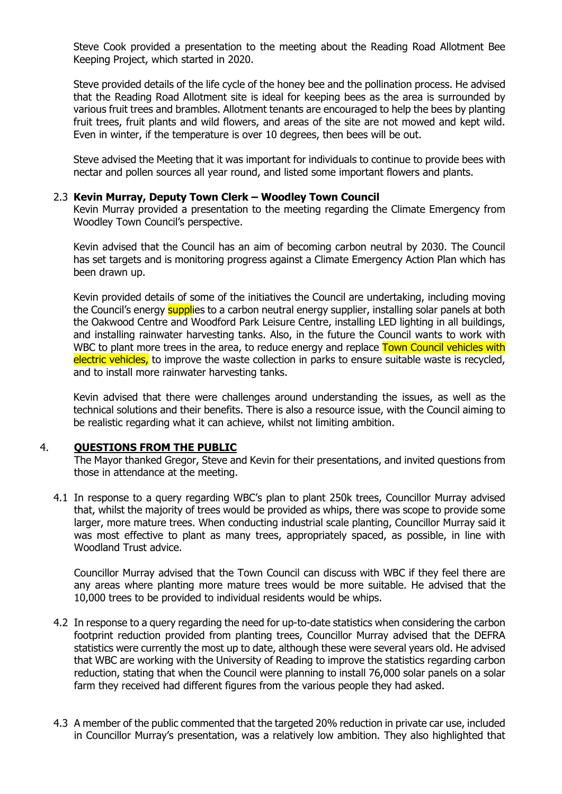Steve Cook provided a presentation to the meeting about the Reading Road Allotment Bee Keeping Project, which started in 2020.

Steve provided details of the life cycle of the honey bee and the pollination process. He advised that the Reading Road Allotment site is ideal for keeping bees as the area is surrounded by various fruit trees and brambles. Allotment tenants are encouraged to help the bees by planting fruit trees, fruit plants and wild flowers, and areas of the site are not mowed and kept wild. Even in winter, if the temperature is over 10 degrees, then bees will be out.

Steve advised the Meeting that it was important for individuals to continue to provide bees with nectar and pollen sources all year round, and listed some important flowers and plants.

#### 2.3 **Kevin Murray, Deputy Town Clerk – Woodley Town Council**

Kevin Murray provided a presentation to the meeting regarding the Climate Emergency from Woodley Town Council's perspective.

Kevin advised that the Council has an aim of becoming carbon neutral by 2030. The Council has set targets and is monitoring progress against a Climate Emergency Action Plan which has been drawn up.

Kevin provided details of some of the initiatives the Council are undertaking, including moving the Council's energy supplies to a carbon neutral energy supplier, installing solar panels at both the Oakwood Centre and Woodford Park Leisure Centre, installing LED lighting in all buildings, and installing rainwater harvesting tanks. Also, in the future the Council wants to work with WBC to plant more trees in the area, to reduce energy and replace Town Council vehicles with electric vehicles, to improve the waste collection in parks to ensure suitable waste is recycled, and to install more rainwater harvesting tanks.

Kevin advised that there were challenges around understanding the issues, as well as the technical solutions and their benefits. There is also a resource issue, with the Council aiming to be realistic regarding what it can achieve, whilst not limiting ambition.

### 4. **QUESTIONS FROM THE PUBLIC**

The Mayor thanked Gregor, Steve and Kevin for their presentations, and invited questions from those in attendance at the meeting.

4.1 In response to a query regarding WBC's plan to plant 250k trees, Councillor Murray advised that, whilst the majority of trees would be provided as whips, there was scope to provide some larger, more mature trees. When conducting industrial scale planting, Councillor Murray said it was most effective to plant as many trees, appropriately spaced, as possible, in line with Woodland Trust advice.

Councillor Murray advised that the Town Council can discuss with WBC if they feel there are any areas where planting more mature trees would be more suitable. He advised that the 10,000 trees to be provided to individual residents would be whips.

- 4.2 In response to a query regarding the need for up-to-date statistics when considering the carbon footprint reduction provided from planting trees, Councillor Murray advised that the DEFRA statistics were currently the most up to date, although these were several years old. He advised that WBC are working with the University of Reading to improve the statistics regarding carbon reduction, stating that when the Council were planning to install 76,000 solar panels on a solar farm they received had different figures from the various people they had asked.
- 4.3 A member of the public commented that the targeted 20% reduction in private car use, included in Councillor Murray's presentation, was a relatively low ambition. They also highlighted that